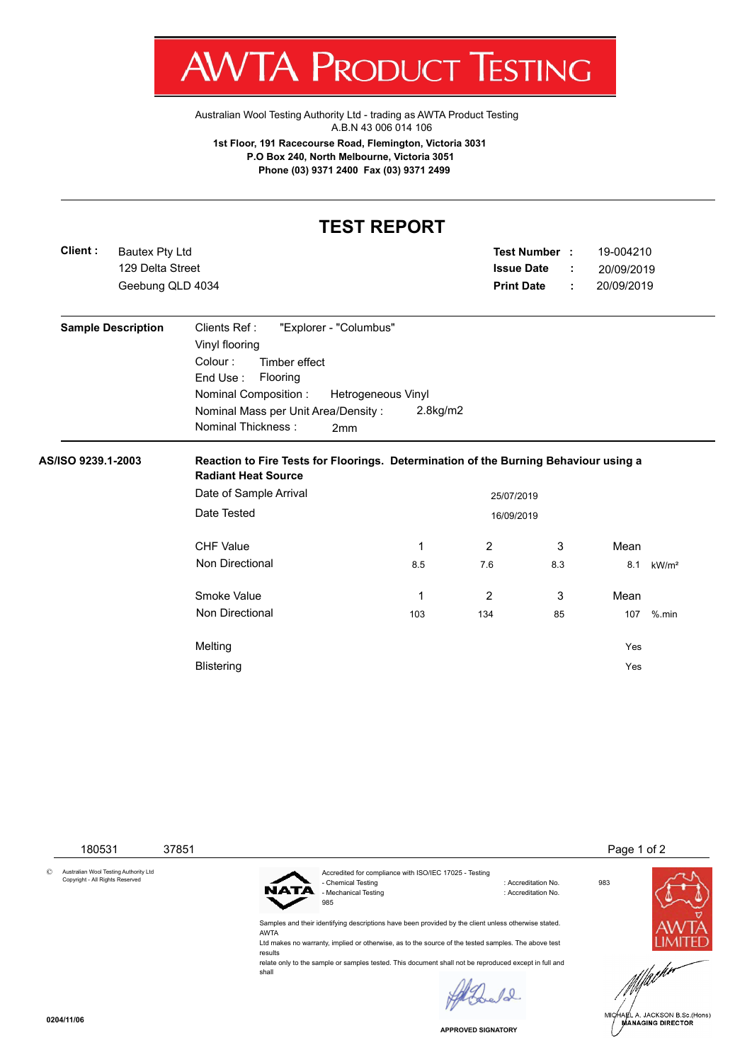

Australian Wool Testing Authority Ltd - trading as AWTA Product Testing A.B.N 43 006 014 106 **1st Floor, 191 Racecourse Road, Flemington, Victoria 3031 P.O Box 240, North Melbourne, Victoria 3051 Phone (03) 9371 2400 Fax (03) 9371 2499**

## **TEST REPORT**

| Client:            | <b>Bautex Pty Ltd</b><br>129 Delta Street<br>Geebung QLD 4034 |                                                                                                                                                                                                          |                                | <b>Issue Date</b><br><b>Print Date</b> | <b>Test Number :</b> | ÷<br>÷ | 19-004210<br>20/09/2019<br>20/09/2019 |                   |  |  |
|--------------------|---------------------------------------------------------------|----------------------------------------------------------------------------------------------------------------------------------------------------------------------------------------------------------|--------------------------------|----------------------------------------|----------------------|--------|---------------------------------------|-------------------|--|--|
|                    | <b>Sample Description</b>                                     | "Explorer - "Columbus"<br>Clients Ref:<br>Vinyl flooring<br>Colour:<br>Timber effect<br>End Use:<br>Flooring<br>Nominal Composition:<br>Nominal Mass per Unit Area/Density:<br>Nominal Thickness:<br>2mm | Hetrogeneous Vinyl<br>2.8kg/m2 |                                        |                      |        |                                       |                   |  |  |
| AS/ISO 9239.1-2003 |                                                               | Reaction to Fire Tests for Floorings. Determination of the Burning Behaviour using a<br><b>Radiant Heat Source</b>                                                                                       |                                |                                        |                      |        |                                       |                   |  |  |
|                    |                                                               | Date of Sample Arrival                                                                                                                                                                                   |                                |                                        | 25/07/2019           |        |                                       |                   |  |  |
|                    |                                                               | Date Tested<br>16/09/2019                                                                                                                                                                                |                                |                                        |                      |        |                                       |                   |  |  |
|                    |                                                               | <b>CHF Value</b>                                                                                                                                                                                         | 1                              | $\overline{2}$                         | 3                    |        | Mean                                  |                   |  |  |
|                    |                                                               | Non Directional                                                                                                                                                                                          | 8.5                            | 7.6                                    | 8.3                  |        | 8.1                                   | kW/m <sup>2</sup> |  |  |
|                    |                                                               | Smoke Value                                                                                                                                                                                              | 1                              | 2                                      | 3                    |        | Mean                                  |                   |  |  |
|                    |                                                               | Non Directional                                                                                                                                                                                          | 103                            | 134                                    | 85                   |        | 107                                   | $%$ .min          |  |  |
|                    |                                                               | Melting                                                                                                                                                                                                  |                                |                                        |                      |        | Yes                                   |                   |  |  |

**Blistering** Yes

|            | 180531                                                                   | 37851 |                        |                                                                                                                                                                                                             |                                            |     | Page 1 of 2                    |
|------------|--------------------------------------------------------------------------|-------|------------------------|-------------------------------------------------------------------------------------------------------------------------------------------------------------------------------------------------------------|--------------------------------------------|-----|--------------------------------|
|            | Australian Wool Testing Authority Ltd<br>Copyright - All Rights Reserved |       | <b>NATA</b>            | Accredited for compliance with ISO/IEC 17025 - Testing<br>- Chemical Testing<br>- Mechanical Testing<br>985                                                                                                 | : Accreditation No.<br>: Accreditation No. | 983 |                                |
|            |                                                                          |       | <b>AWTA</b><br>results | Samples and their identifying descriptions have been provided by the client unless otherwise stated.<br>Ltd makes no warranty, implied or otherwise, as to the source of the tested samples. The above test |                                            |     |                                |
|            |                                                                          |       |                        | relate only to the sample or samples tested. This document shall not be reproduced except in full and<br>shall                                                                                              |                                            |     |                                |
|            |                                                                          |       |                        |                                                                                                                                                                                                             |                                            |     | MICHAEL A. JACKSON B.Sc.(Hons) |
| 0204/11/06 |                                                                          |       |                        |                                                                                                                                                                                                             | <b>APPROVED SIGNATORY</b>                  |     | <b>MANAGING DIRECTOR</b>       |